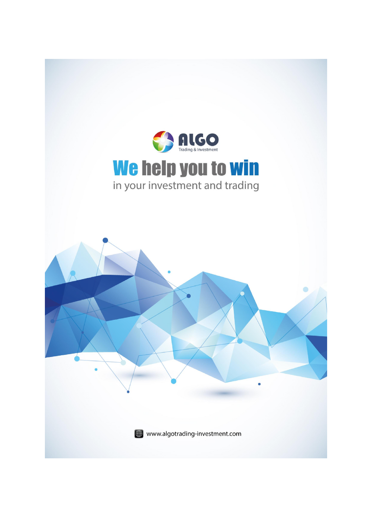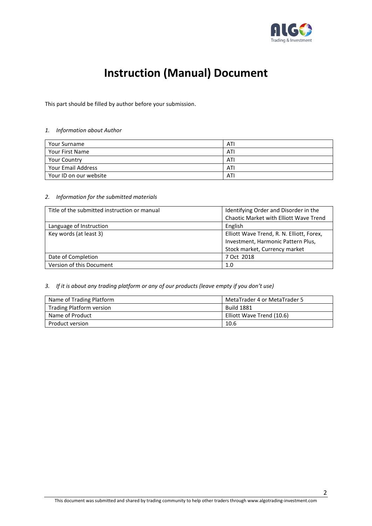

## Instruction (Manual) Document

This part should be filled by author before your submission.

#### *1. Information about Author*

| Your Surname              | ATI |
|---------------------------|-----|
| Your First Name           | ATI |
| <b>Your Country</b>       | ATI |
| <b>Your Email Address</b> | ATI |
| Your ID on our website    | ATI |

#### *2. Information for the submitted materials*

| Title of the submitted instruction or manual | Identifying Order and Disorder in the     |
|----------------------------------------------|-------------------------------------------|
|                                              | Chaotic Market with Elliott Wave Trend    |
| Language of Instruction                      | English                                   |
| Key words (at least 3)                       | Elliott Wave Trend, R. N. Elliott, Forex, |
|                                              | Investment, Harmonic Pattern Plus,        |
|                                              | Stock market, Currency market             |
| Date of Completion                           | 7 Oct 2018                                |
| Version of this Document                     | 1.0                                       |

### *3. If it is about any trading platform or any of our products (leave empty if you don't use)*

| Name of Trading Platform | MetaTrader 4 or MetaTrader 5 |
|--------------------------|------------------------------|
| Trading Platform version | <b>Build 1881</b>            |
| Name of Product          | Elliott Wave Trend (10.6)    |
| Product version          | 10.6                         |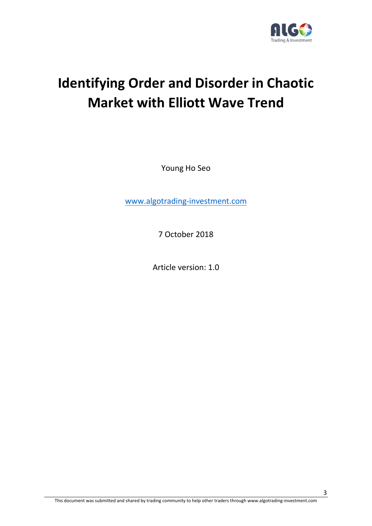

# Identifying Order and Disorder in Chaotic Market with Elliott Wave Trend

Young Ho Seo

www.algotrading-investment.com

7 October 2018

Article version: 1.0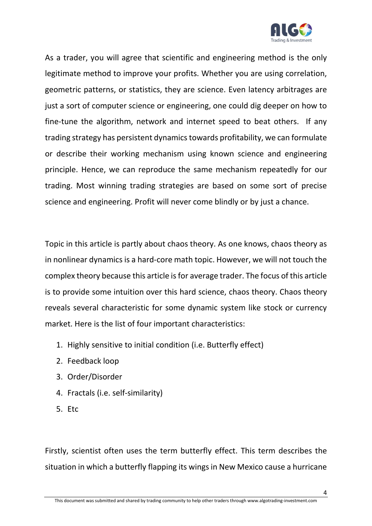

As a trader, you will agree that scientific and engineering method is the only legitimate method to improve your profits. Whether you are using correlation, geometric patterns, or statistics, they are science. Even latency arbitrages are just a sort of computer science or engineering, one could dig deeper on how to fine-tune the algorithm, network and internet speed to beat others. If any trading strategy has persistent dynamics towards profitability, we can formulate or describe their working mechanism using known science and engineering principle. Hence, we can reproduce the same mechanism repeatedly for our trading. Most winning trading strategies are based on some sort of precise science and engineering. Profit will never come blindly or by just a chance.

Topic in this article is partly about chaos theory. As one knows, chaos theory as in nonlinear dynamics is a hard-core math topic. However, we will not touch the complex theory because this article is for average trader. The focus of this article is to provide some intuition over this hard science, chaos theory. Chaos theory reveals several characteristic for some dynamic system like stock or currency market. Here is the list of four important characteristics:

- 1. Highly sensitive to initial condition (i.e. Butterfly effect)
- 2. Feedback loop
- 3. Order/Disorder
- 4. Fractals (i.e. self-similarity)
- 5. Etc

Firstly, scientist often uses the term butterfly effect. This term describes the situation in which a butterfly flapping its wings in New Mexico cause a hurricane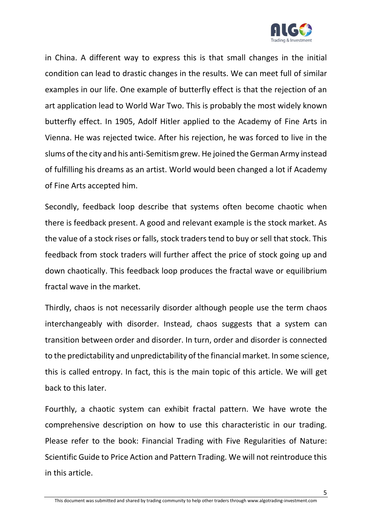

in China. A different way to express this is that small changes in the initial condition can lead to drastic changes in the results. We can meet full of similar examples in our life. One example of butterfly effect is that the rejection of an art application lead to World War Two. This is probably the most widely known butterfly effect. In 1905, Adolf Hitler applied to the Academy of Fine Arts in Vienna. He was rejected twice. After his rejection, he was forced to live in the slums of the city and his anti-Semitism grew. He joined the German Army instead of fulfilling his dreams as an artist. World would been changed a lot if Academy of Fine Arts accepted him.

Secondly, feedback loop describe that systems often become chaotic when there is feedback present. A good and relevant example is the stock market. As the value of a stock rises or falls, stock traders tend to buy or sell that stock. This feedback from stock traders will further affect the price of stock going up and down chaotically. This feedback loop produces the fractal wave or equilibrium fractal wave in the market.

Thirdly, chaos is not necessarily disorder although people use the term chaos interchangeably with disorder. Instead, chaos suggests that a system can transition between order and disorder. In turn, order and disorder is connected to the predictability and unpredictability of the financial market. In some science, this is called entropy. In fact, this is the main topic of this article. We will get back to this later.

Fourthly, a chaotic system can exhibit fractal pattern. We have wrote the comprehensive description on how to use this characteristic in our trading. Please refer to the book: Financial Trading with Five Regularities of Nature: Scientific Guide to Price Action and Pattern Trading. We will not reintroduce this in this article.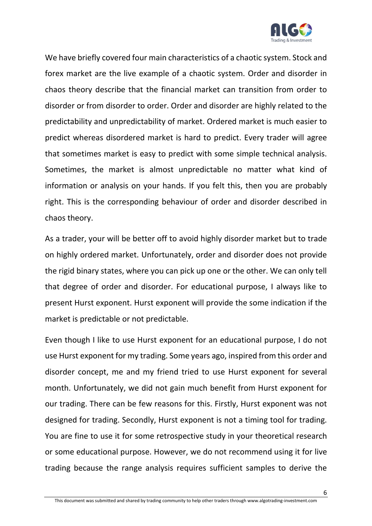

We have briefly covered four main characteristics of a chaotic system. Stock and forex market are the live example of a chaotic system. Order and disorder in chaos theory describe that the financial market can transition from order to disorder or from disorder to order. Order and disorder are highly related to the predictability and unpredictability of market. Ordered market is much easier to predict whereas disordered market is hard to predict. Every trader will agree that sometimes market is easy to predict with some simple technical analysis. Sometimes, the market is almost unpredictable no matter what kind of information or analysis on your hands. If you felt this, then you are probably right. This is the corresponding behaviour of order and disorder described in chaos theory.

As a trader, your will be better off to avoid highly disorder market but to trade on highly ordered market. Unfortunately, order and disorder does not provide the rigid binary states, where you can pick up one or the other. We can only tell that degree of order and disorder. For educational purpose, I always like to present Hurst exponent. Hurst exponent will provide the some indication if the market is predictable or not predictable.

Even though I like to use Hurst exponent for an educational purpose, I do not use Hurst exponent for my trading. Some years ago, inspired from this order and disorder concept, me and my friend tried to use Hurst exponent for several month. Unfortunately, we did not gain much benefit from Hurst exponent for our trading. There can be few reasons for this. Firstly, Hurst exponent was not designed for trading. Secondly, Hurst exponent is not a timing tool for trading. You are fine to use it for some retrospective study in your theoretical research or some educational purpose. However, we do not recommend using it for live trading because the range analysis requires sufficient samples to derive the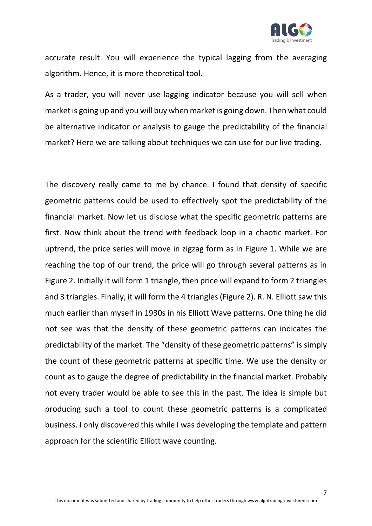

accurate result. You will experience the typical lagging from the averaging algorithm. Hence, it is more theoretical tool.

As a trader, you will never use lagging indicator because you will sell when market is going up and you will buy when market is going down. Then what could be alternative indicator or analysis to gauge the predictability of the financial market? Here we are talking about techniques we can use for our live trading.

The discovery really came to me by chance. I found that density of specific geometric patterns could be used to effectively spot the predictability of the financial market. Now let us disclose what the specific geometric patterns are first. Now think about the trend with feedback loop in a chaotic market. For uptrend, the price series will move in zigzag form as in Figure 1. While we are reaching the top of our trend, the price will go through several patterns as in Figure 2. Initially it will form 1 triangle, then price will expand to form 2 triangles and 3 triangles. Finally, it will form the 4 triangles(Figure 2). R. N. Elliott saw this much earlier than myself in 1930s in his Elliott Wave patterns. One thing he did not see was that the density of these geometric patterns can indicates the predictability of the market. The "density of these geometric patterns" is simply the count of these geometric patterns at specific time. We use the density or count as to gauge the degree of predictability in the financial market. Probably not every trader would be able to see this in the past. The idea is simple but producing such a tool to count these geometric patterns is a complicated business. I only discovered this while I was developing the template and pattern approach for the scientific Elliott wave counting.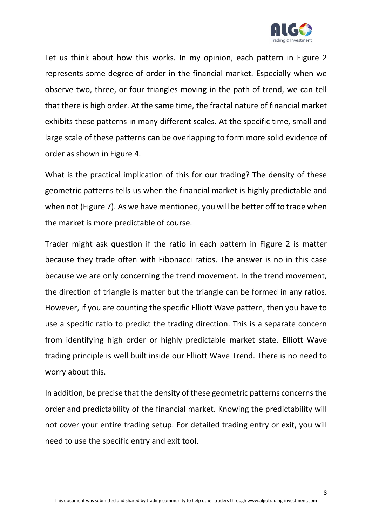

Let us think about how this works. In my opinion, each pattern in Figure 2 represents some degree of order in the financial market. Especially when we observe two, three, or four triangles moving in the path of trend, we can tell that there is high order. At the same time, the fractal nature of financial market exhibits these patterns in many different scales. At the specific time, small and large scale of these patterns can be overlapping to form more solid evidence of order as shown in Figure 4.

What is the practical implication of this for our trading? The density of these geometric patterns tells us when the financial market is highly predictable and when not (Figure 7). As we have mentioned, you will be better off to trade when the market is more predictable of course.

Trader might ask question if the ratio in each pattern in Figure 2 is matter because they trade often with Fibonacci ratios. The answer is no in this case because we are only concerning the trend movement. In the trend movement, the direction of triangle is matter but the triangle can be formed in any ratios. However, if you are counting the specific Elliott Wave pattern, then you have to use a specific ratio to predict the trading direction. This is a separate concern from identifying high order or highly predictable market state. Elliott Wave trading principle is well built inside our Elliott Wave Trend. There is no need to worry about this.

In addition, be precise that the density of these geometric patterns concerns the order and predictability of the financial market. Knowing the predictability will not cover your entire trading setup. For detailed trading entry or exit, you will need to use the specific entry and exit tool.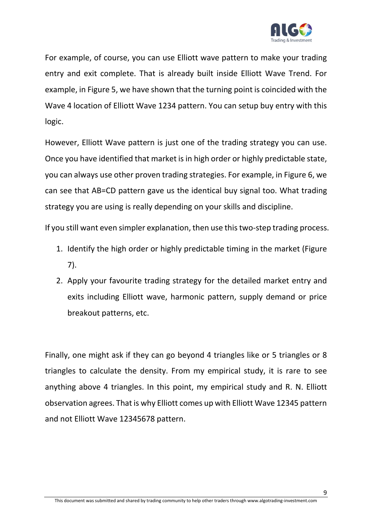

For example, of course, you can use Elliott wave pattern to make your trading entry and exit complete. That is already built inside Elliott Wave Trend. For example, in Figure 5, we have shown that the turning point is coincided with the Wave 4 location of Elliott Wave 1234 pattern. You can setup buy entry with this logic.

However, Elliott Wave pattern is just one of the trading strategy you can use. Once you have identified that market is in high order or highly predictable state, you can always use other proven trading strategies. For example, in Figure 6, we can see that AB=CD pattern gave us the identical buy signal too. What trading strategy you are using is really depending on your skills and discipline.

If you still want even simpler explanation, then use this two-step trading process.

- 1. Identify the high order or highly predictable timing in the market (Figure 7).
- 2. Apply your favourite trading strategy for the detailed market entry and exits including Elliott wave, harmonic pattern, supply demand or price breakout patterns, etc.

Finally, one might ask if they can go beyond 4 triangles like or 5 triangles or 8 triangles to calculate the density. From my empirical study, it is rare to see anything above 4 triangles. In this point, my empirical study and R. N. Elliott observation agrees. That is why Elliott comes up with Elliott Wave 12345 pattern and not Elliott Wave 12345678 pattern.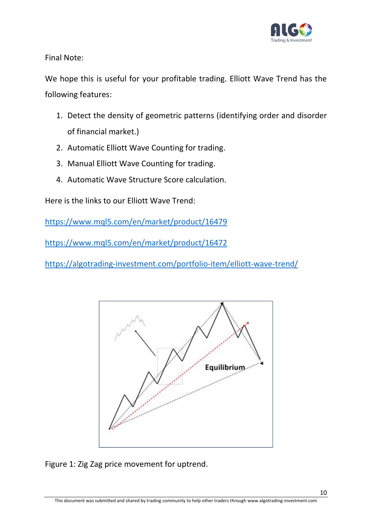

Final Note:

We hope this is useful for your profitable trading. Elliott Wave Trend has the following features:

- 1. Detect the density of geometric patterns (identifying order and disorder of financial market.)
- 2. Automatic Elliott Wave Counting for trading.
- 3. Manual Elliott Wave Counting for trading.
- 4. Automatic Wave Structure Score calculation.

Here is the links to our Elliott Wave Trend:

https://www.mql5.com/en/market/product/16479

https://www.mql5.com/en/market/product/16472

https://algotrading-investment.com/portfolio-item/elliott-wave-trend/



Figure 1: Zig Zag price movement for uptrend.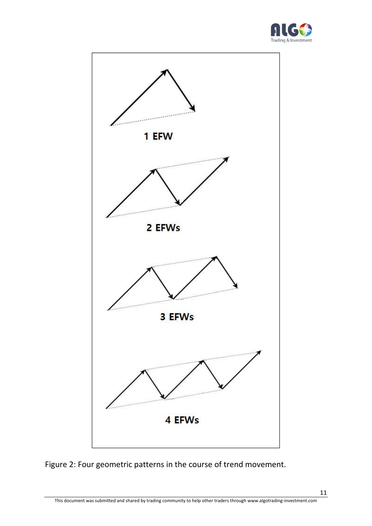



Figure 2: Four geometric patterns in the course of trend movement.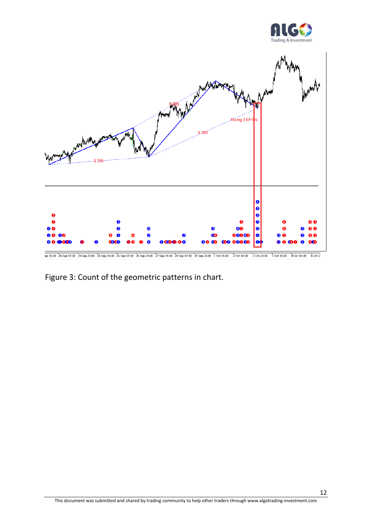



Figure 3: Count of the geometric patterns in chart.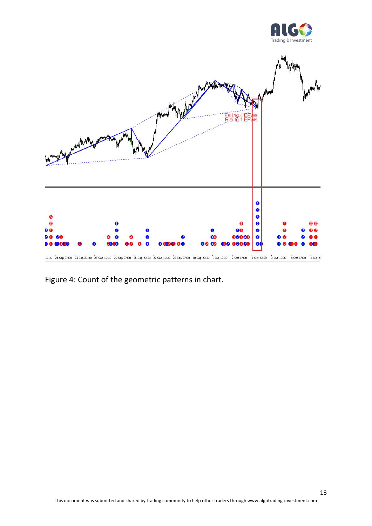



Figure 4: Count of the geometric patterns in chart.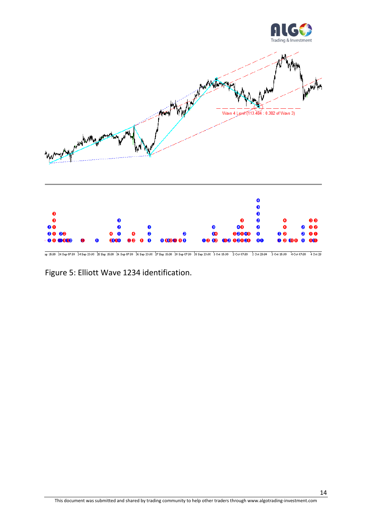

10 15:30 24 Sep 07:30 24 Sep 23:30 25 Sep 15:30 26 Sep 07:30 26 Sep 23:30 27 Sep 15:30 28 Sep 07:30 28 Sep 23:30 1 Oct 15:30 2 Oct 07:30 20 23:30 3 Oct 15:30 4 Oct 07:30 4 Oct 23:30

Figure 5: Elliott Wave 1234 identification.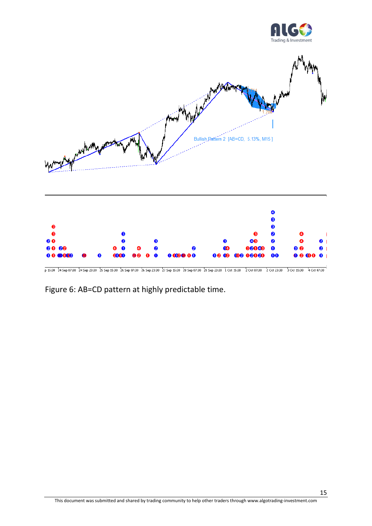





p 15:30 24 Sep 07:30 24 Sep 23:30 25 Sep 15:30 26 Sep 07:30 26 Sep 23:30 27 Sep 15:30 28 Sep 07:30 28 Sep 23:30 1 Oct 15:30 2 Oct 07:30 2 Oct 23:30 3 Oct 15:30 4 Oct 07:30 0

Figure 6: AB=CD pattern at highly predictable time.